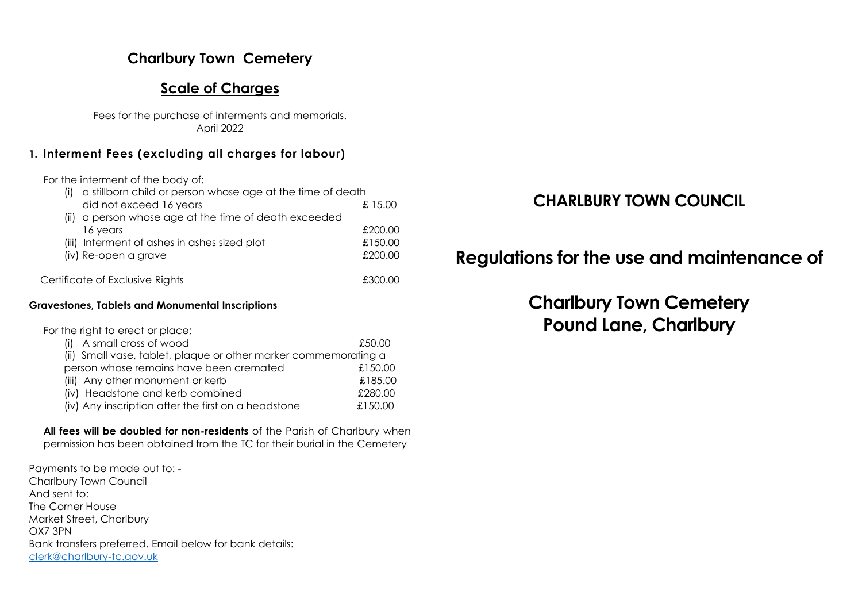## **Charlbury Town Cemetery**

## **Scale of Charges**

Fees for the purchase of interments and memorials. April 2022

### **1. Interment Fees (excluding all charges for labour)**

For the interment of the body of:

| a stillborn child or person whose age at the time of death |                     |
|------------------------------------------------------------|---------------------|
| did not exceed 16 years                                    | £ 15.00             |
| (ii) a person whose age at the time of death exceeded      |                     |
| 16 years                                                   | £200.00             |
| (iii) Interment of ashes in ashes sized plot               | £150.00             |
| (iv) Re-open a grave                                       | £200.00             |
| Certificate of Exclusive Rights                            | LO NOE <del>1</del> |

#### **Gravestones, Tablets and Monumental Inscriptions**

For the right to erect or place:

| (i) A small cross of wood                                       | £50.00  |
|-----------------------------------------------------------------|---------|
| (ii) Small vase, tablet, plaque or other marker commemorating a |         |
| person whose remains have been cremated                         | £150.00 |
| (iii) Any other monument or kerb                                | £185.00 |
| (iv) Headstone and kerb combined                                | £280.00 |
| (iv) Any inscription after the first on a headstone             | £150.00 |

#### **All fees will be doubled for non-residents** of the Parish of Charlbury when permission has been obtained from the TC for their burial in the Cemetery

Payments to be made out to: - Charlbury Town Council And sent to: The Corner House Market Street, Charlbury OX7 3PN Bank transfers preferred. Email below for bank details: [clerk@charlbury-tc.gov.uk](mailto:clerk@charlbury-tc.gov.uk)

# **CHARLBURY TOWN COUNCIL**

# **Regulations for the use and maintenance of**

# **Charlbury Town Cemetery Pound Lane, Charlbury**